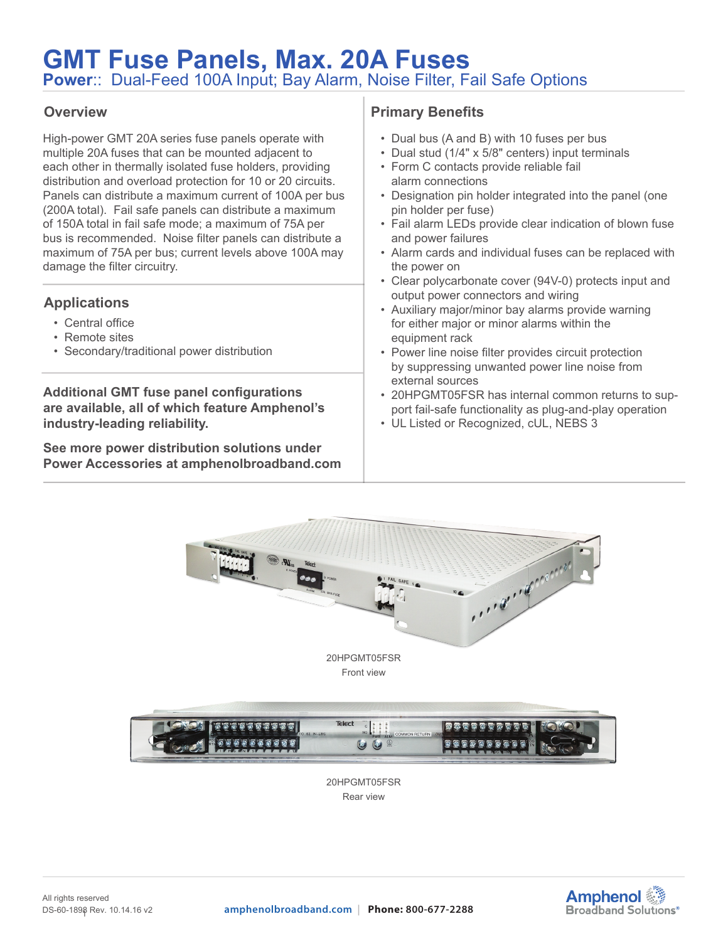# **GMT Fuse Panels, Max. 20A Fuses Power**:: Dual-Feed 100A Input; Bay Alarm, Noise Filter, Fail Safe Options

### **Overview**

High-power GMT 20A series fuse panels operate with multiple 20A fuses that can be mounted adjacent to each other in thermally isolated fuse holders, providing distribution and overload protection for 10 or 20 circuits. Panels can distribute a maximum current of 100A per bus (200A total). Fail safe panels can distribute a maximum of 150A total in fail safe mode; a maximum of 75A per bus is recommended. Noise filter panels can distribute a maximum of 75A per bus; current levels above 100A may damage the filter circuitry.

## **Applications**

- Central office
- Remote sites
- Secondary/traditional power distribution

**Additional GMT fuse panel configurations are available, all of which feature Amphenol's industry-leading reliability.**

**See more power distribution solutions under Power Accessories at amphenolbroadband.com**

## **Primary Benefits**

- Dual bus (A and B) with 10 fuses per bus
- Dual stud (1/4" x 5/8" centers) input terminals
- Form C contacts provide reliable fail alarm connections
- Designation pin holder integrated into the panel (one pin holder per fuse)
- Fail alarm LEDs provide clear indication of blown fuse and power failures
- Alarm cards and individual fuses can be replaced with the power on
- Clear polycarbonate cover (94V-0) protects input and output power connectors and wiring
- Auxiliary major/minor bay alarms provide warning for either major or minor alarms within the equipment rack
- Power line noise filter provides circuit protection by suppressing unwanted power line noise from external sources
- 20HPGMT05FSR has internal common returns to support fail-safe functionality as plug-and-play operation
- UL Listed or Recognized, cUL, NEBS 3





20HPGMT05FSR Rear view